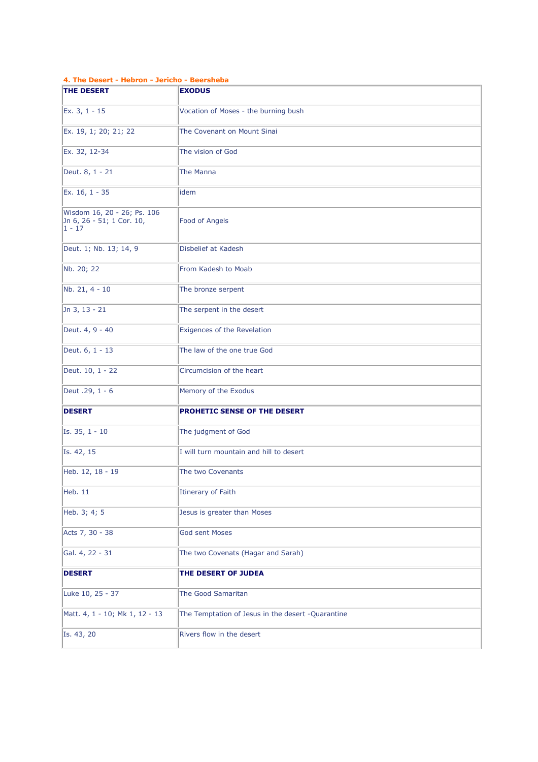| 4. The Desert - Hebron - Jericho - Beersheba                         |                                                    |  |  |
|----------------------------------------------------------------------|----------------------------------------------------|--|--|
| <b>THE DESERT</b>                                                    | <b>EXODUS</b>                                      |  |  |
| Ex. 3, 1 - 15                                                        | Vocation of Moses - the burning bush               |  |  |
| Ex. 19, 1; 20; 21; 22                                                | The Covenant on Mount Sinai                        |  |  |
| Ex. 32, 12-34                                                        | The vision of God                                  |  |  |
| Deut. 8, 1 - 21                                                      | The Manna                                          |  |  |
| Ex. 16, 1 - 35                                                       | idem                                               |  |  |
| Wisdom 16, 20 - 26; Ps. 106<br>Jn 6, 26 - 51; 1 Cor. 10,<br>$1 - 17$ | Food of Angels                                     |  |  |
| Deut. 1; Nb. 13; 14, 9                                               | Disbelief at Kadesh                                |  |  |
| Nb. 20; 22                                                           | From Kadesh to Moab                                |  |  |
| Nb. 21, 4 - 10                                                       | The bronze serpent                                 |  |  |
| Jn 3, 13 - 21                                                        | The serpent in the desert                          |  |  |
| Deut. 4, 9 - 40                                                      | Exigences of the Revelation                        |  |  |
| Deut. 6, 1 - 13                                                      | The law of the one true God                        |  |  |
| Deut. 10, 1 - 22                                                     | Circumcision of the heart                          |  |  |
| Deut .29, 1 - 6                                                      | Memory of the Exodus                               |  |  |
| <b>DESERT</b>                                                        | <b>PROHETIC SENSE OF THE DESERT</b>                |  |  |
| Is. 35, 1 - 10                                                       | The judgment of God                                |  |  |
| Is. 42, 15                                                           | I will turn mountain and hill to desert            |  |  |
| Heb. 12, 18 - 19                                                     | The two Covenants                                  |  |  |
| Heb. 11                                                              | Itinerary of Faith                                 |  |  |
| Heb. 3; 4; 5                                                         | Jesus is greater than Moses                        |  |  |
| Acts 7, 30 - 38                                                      | <b>God sent Moses</b>                              |  |  |
| Gal. 4, 22 - 31                                                      | The two Covenats (Hagar and Sarah)                 |  |  |
| <b>DESERT</b>                                                        | THE DESERT OF JUDEA                                |  |  |
| Luke 10, 25 - 37                                                     | <b>The Good Samaritan</b>                          |  |  |
| Matt. 4, 1 - 10; Mk 1, 12 - 13                                       | The Temptation of Jesus in the desert - Quarantine |  |  |
| Is. 43, 20                                                           | Rivers flow in the desert                          |  |  |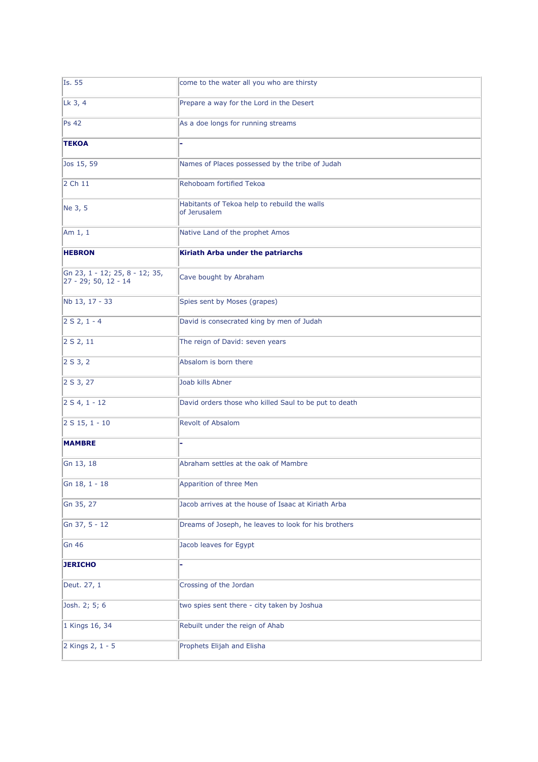| Is. 55                                                 | come to the water all you who are thirsty                    |
|--------------------------------------------------------|--------------------------------------------------------------|
| Lk 3, 4                                                | Prepare a way for the Lord in the Desert                     |
| <b>Ps 42</b>                                           | As a doe longs for running streams                           |
| <b>TEKOA</b>                                           |                                                              |
| Jos 15, 59                                             | Names of Places possessed by the tribe of Judah              |
| 2 Ch 11                                                | Rehoboam fortified Tekoa                                     |
| Ne 3, 5                                                | Habitants of Tekoa help to rebuild the walls<br>of Jerusalem |
| Am $1, 1$                                              | Native Land of the prophet Amos                              |
| <b>HEBRON</b>                                          | Kiriath Arba under the patriarchs                            |
| Gn 23, 1 - 12; 25, 8 - 12; 35,<br>27 - 29; 50, 12 - 14 | Cave bought by Abraham                                       |
| Nb 13, 17 - 33                                         | Spies sent by Moses (grapes)                                 |
| $2 S 2, 1 - 4$                                         | David is consecrated king by men of Judah                    |
| 2 S 2, 11                                              | The reign of David: seven years                              |
| 2 S 3, 2                                               | Absalom is born there                                        |
| 2 S 3, 27                                              | Joab kills Abner                                             |
| $2 S 4, 1 - 12$                                        | David orders those who killed Saul to be put to death        |
| $2 S 15, 1 - 10$                                       | <b>Revolt of Absalom</b>                                     |
| <b>MAMBRE</b>                                          |                                                              |
| Gn 13, 18                                              | Abraham settles at the oak of Mambre                         |
| Gn 18, 1 - 18                                          | Apparition of three Men                                      |
| Gn 35, 27                                              | Jacob arrives at the house of Isaac at Kiriath Arba          |
| Gn 37, 5 - 12                                          | Dreams of Joseph, he leaves to look for his brothers         |
| Gn 46                                                  | Jacob leaves for Egypt                                       |
| <b>JERICHO</b>                                         |                                                              |
| Deut. 27, 1                                            | Crossing of the Jordan                                       |
| Josh. 2; 5; 6                                          | two spies sent there - city taken by Joshua                  |
| 1 Kings 16, 34                                         | Rebuilt under the reign of Ahab                              |
| 2 Kings 2, 1 - 5                                       | Prophets Elijah and Elisha                                   |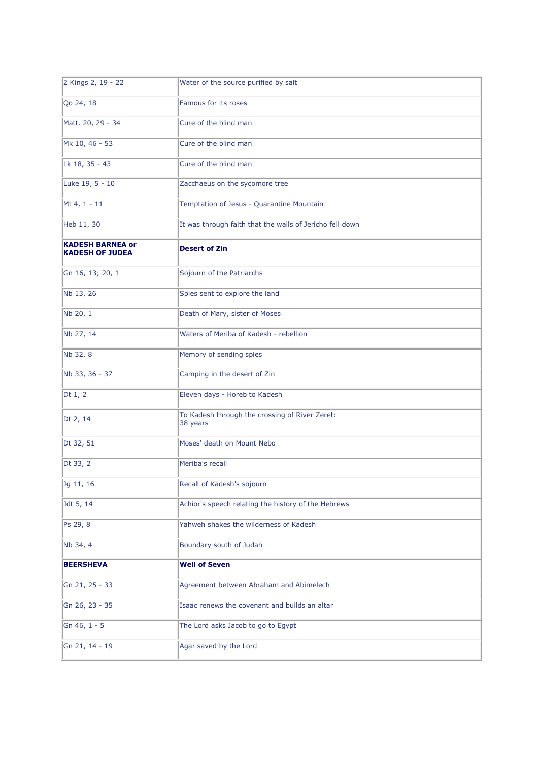| 2 Kings 2, 19 - 22                                | Water of the source purified by salt                       |
|---------------------------------------------------|------------------------------------------------------------|
| Qo 24, 18                                         | Famous for its roses                                       |
| Matt. 20, 29 - 34                                 | Cure of the blind man                                      |
| Mk 10, 46 - 53                                    | Cure of the blind man                                      |
| Lk 18, 35 - 43                                    | Cure of the blind man                                      |
| Luke 19, 5 - 10                                   | Zacchaeus on the sycomore tree                             |
| Mt 4, 1 - 11                                      | Temptation of Jesus - Quarantine Mountain                  |
| Heb 11, 30                                        | It was through faith that the walls of Jericho fell down   |
| <b>KADESH BARNEA or</b><br><b>KADESH OF JUDEA</b> | <b>Desert of Zin</b>                                       |
| Gn 16, 13; 20, 1                                  | Sojourn of the Patriarchs                                  |
| Nb 13, 26                                         | Spies sent to explore the land                             |
| Nb 20, 1                                          | Death of Mary, sister of Moses                             |
| Nb 27, 14                                         | Waters of Meriba of Kadesh - rebellion                     |
| Nb 32, 8                                          | Memory of sending spies                                    |
| Nb 33, 36 - 37                                    | Camping in the desert of Zin                               |
| Dt $1, 2$                                         | Eleven days - Horeb to Kadesh                              |
| Dt 2, 14                                          | To Kadesh through the crossing of River Zeret:<br>38 years |
| Dt 32, 51                                         | Moses' death on Mount Nebo                                 |
| Dt 33, 2                                          | Meriba's recall                                            |
| Jg 11, 16                                         | Recall of Kadesh's sojourn                                 |
| Jdt 5, 14                                         | Achior's speech relating the history of the Hebrews        |
| Ps 29, 8                                          | Yahweh shakes the wilderness of Kadesh                     |
| Nb 34, 4                                          | Boundary south of Judah                                    |
| <b>BEERSHEVA</b>                                  | <b>Well of Seven</b>                                       |
| Gn 21, 25 - 33                                    | Agreement between Abraham and Abimelech                    |
| Gn 26, 23 - 35                                    | Isaac renews the covenant and builds an altar              |
| Gn 46, 1 - 5                                      | The Lord asks Jacob to go to Egypt                         |
| Gn 21, 14 - 19                                    | Agar saved by the Lord                                     |